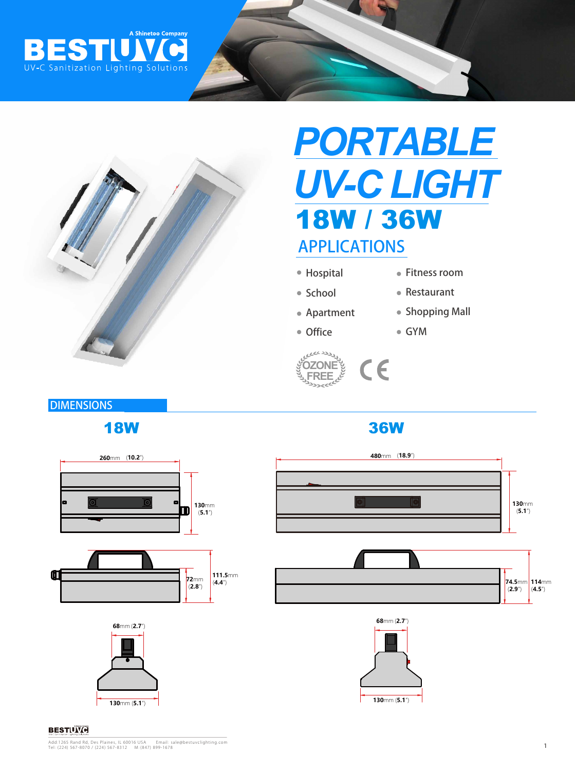



# APPLICATIONS *PORTABLE UV-C LIGHT* 18W / 36W

- Hospital
- Fitness room

Restaurant

Shopping Mall

- School
- Apartment
- Office
- GYM



## **DIMENSIONS**

## 18W 36W











#### **BESTIVITH**

Add:1265 Rand Rd, Des Plaines, IL 60016 USA Email: sale@bestuvclighting.com<br>Tel: (224) 567-8070 / (224) 567-8312 M: (847) 899-1678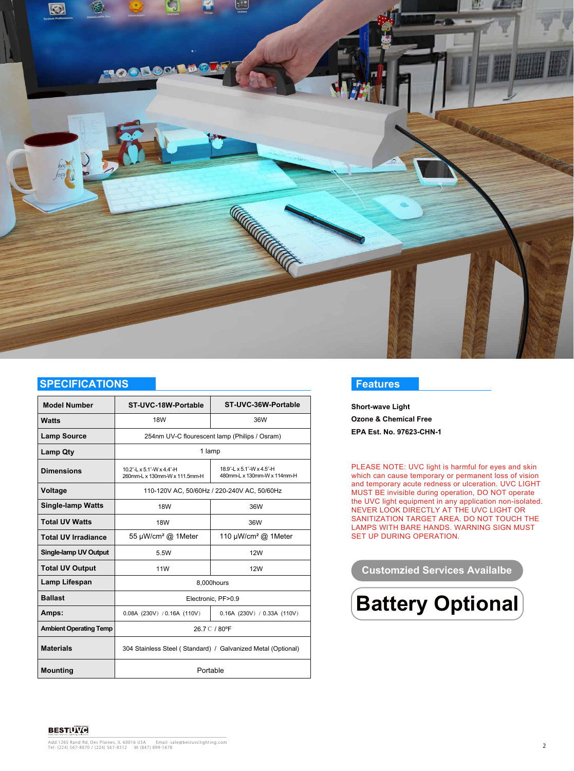

#### **SPECIFICATIONS**

| <b>Model Number</b>           | ST-UVC-18W-Portable                                          | ST-UVC-36W-Portable                                      |
|-------------------------------|--------------------------------------------------------------|----------------------------------------------------------|
|                               |                                                              |                                                          |
| <b>Watts</b>                  | <b>18W</b>                                                   | 36W                                                      |
| <b>Lamp Source</b>            | 254nm UV-C flourescent lamp (Philips / Osram)                |                                                          |
| <b>Lamp Qty</b>               | 1 lamp                                                       |                                                          |
| <b>Dimensions</b>             | 10.2"-L x 5.1"-W x 4.4"-H<br>260mm-L x 130mm-W x 111.5mm-H   | 18.9"-L x 5.1"-W x 4.5"-H<br>480mm-L x 130mm-W x 114mm-H |
| Voltage                       | 110-120V AC, 50/60Hz / 220-240V AC, 50/60Hz                  |                                                          |
| <b>Single-lamp Watts</b>      | <b>18W</b>                                                   | 36W                                                      |
| <b>Total UV Watts</b>         | <b>18W</b>                                                   | 36W                                                      |
| <b>Total UV Irradiance</b>    | 55 µW/cm <sup>2</sup> @ 1Meter                               | 110 $\mu$ W/cm <sup>2</sup> @ 1Meter                     |
| <b>Single-lamp UV Output</b>  | 5.5W                                                         | <b>12W</b>                                               |
| <b>Total UV Output</b>        | <b>11W</b>                                                   | <b>12W</b>                                               |
| Lamp Lifespan                 | 8,000hours                                                   |                                                          |
| <b>Ballast</b>                | Electronic, PF>0.9                                           |                                                          |
| Amps:                         | 0.08A (230V) / 0.16A (110V)                                  | $0.16A$ (230V) / 0.33A (110V)                            |
| <b>Ambient Operating Temp</b> | 26.7 C / 80°F                                                |                                                          |
| <b>Materials</b>              | 304 Stainless Steel (Standard) / Galvanized Metal (Optional) |                                                          |
| <b>Mounting</b>               | Portable                                                     |                                                          |

#### **Features**

**Short-wave Light Ozone & Chemical Free EPA Est. No. 97623-CHN-1**

PLEASE NOTE: UVC light is harmful for eyes and skin which can cause temporary or permanent loss of vision and temporary acute redness or ulceration. UVC LIGHT MUST BE invisible during operation, DO NOT operate the UVC light equipment in any application non-isolated. NEVER LOOK DIRECTLY AT THE UVC LIGHT OR SANITIZATION TARGET AREA. DO NOT TOUCH THE LAMPS WITH BARE HANDS. WARNING SIGN MUST SET UP DURING OPERATION.

#### **Customzied Services Availalbe**



**BESTIVING** 

Add:1265 Rand Rd, Des Plaines, IL 60016 USA Email: sale@bestuvclighting.com<br>Tel: (224) 567-8070 / (224) 567-8312 M: (847) 899-1678